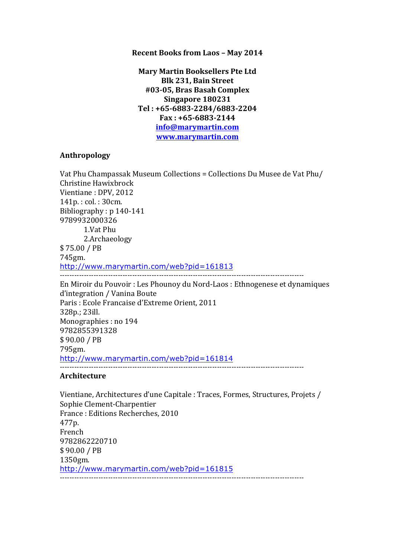#### **Recent Books from Laos - May 2014**

**Mary Martin Booksellers Pte Ltd Blk 231, Bain Street #03-05, Bras Basah Complex Singapore 180231 Tel : +65-6883-2284/6883-2204 Fax : +65-6883-2144 info@marymartin.com www.marymartin.com**

#### **Anthropology**

Vat Phu Champassak Museum Collections = Collections Du Musee de Vat Phu/ Christine Hawixbrock Vientiane : DPV, 2012 141p.: col.: 30cm. Bibliography :  $p$  140-141 9789932000326 1.Vat Phu 2.Archaeology \$ 75.00 / PB 745gm. http://www.marymartin.com/web?pid=161813 ----------------------------------------------------------------------------------------------------- En Miroir du Pouvoir : Les Phounoy du Nord-Laos : Ethnogenese et dynamiques d'integration / Vanina Boute Paris : Ecole Francaise d'Extreme Orient, 2011 328p.; 23ill. Monographies : no 194 9782855391328 \$ 90.00 / PB 795gm. http://www.marymartin.com/web?pid=161814  $-$ **Architecture**

Vientiane, Architectures d'une Capitale : Traces, Formes, Structures, Projets / Sophie Clement-Charpentier France: Editions Recherches, 2010 477p. French 9782862220710 \$ 90.00 / PB 1350gm. http://www.marymartin.com/web?pid=161815 -----------------------------------------------------------------------------------------------------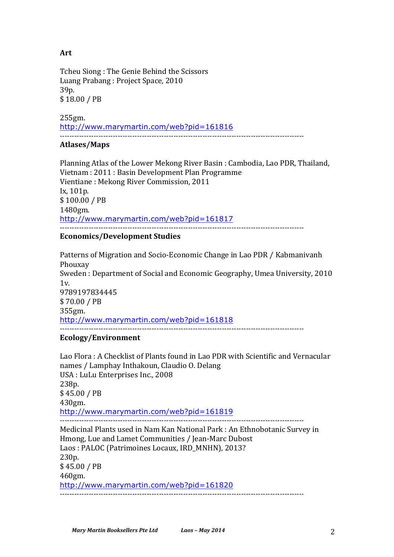# **Art**

Tcheu Siong: The Genie Behind the Scissors Luang Prabang : Project Space, 2010 39p. \$ 18.00 / PB

255gm. http://www.marymartin.com/web?pid=161816 -----------------------------------------------------------------------------------------------------

## **Atlases/Maps**

Planning Atlas of the Lower Mekong River Basin : Cambodia, Lao PDR, Thailand, Vietnam : 2011 : Basin Development Plan Programme Vientiane : Mekong River Commission, 2011 Ix, 101p. \$ 100.00 / PB 1480gm. http://www.marymartin.com/web?pid=161817 -----------------------------------------------------------------------------------------------------

# **Economics/Development Studies**

Patterns of Migration and Socio-Economic Change in Lao PDR / Kabmanivanh Phouxay Sweden : Department of Social and Economic Geography, Umea University, 2010  $1v<sub>l</sub>$ 9789197834445 \$ 70.00 / PB 355gm. http://www.marymartin.com/web?pid=161818 -----------------------------------------------------------------------------------------------------

## **Ecology/Environment**

Lao Flora : A Checklist of Plants found in Lao PDR with Scientific and Vernacular names / Lamphay Inthakoun, Claudio O. Delang USA : LuLu Enterprises Inc., 2008 238p. \$ 45.00 / PB 430gm. http://www.marymartin.com/web?pid=161819 ----------------------------------------------------------------------------------------------------- Medicinal Plants used in Nam Kan National Park : An Ethnobotanic Survey in Hmong, Lue and Lamet Communities / Jean-Marc Dubost Laos : PALOC (Patrimoines Locaux, IRD MNHN), 2013? 230p. \$ 45.00 / PB 460gm. http://www.marymartin.com/web?pid=161820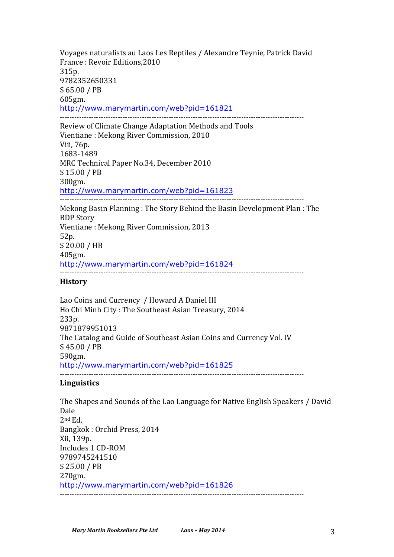Voyages naturalists au Laos Les Reptiles / Alexandre Teynie, Patrick David France: Revoir Editions, 2010 315p. 9782352650331 \$ 65.00 / PB 605gm. http://www.marymartin.com/web?pid=161821 ----------------------------------------------------------------------------------------------------- Review of Climate Change Adaptation Methods and Tools Vientiane : Mekong River Commission, 2010 Viii, 76p. 1683-1489 MRC Technical Paper No.34, December 2010 \$ 15.00 / PB 300gm. http://www.marymartin.com/web?pid=161823 ----------------------------------------------------------------------------------------------------- Mekong Basin Planning: The Story Behind the Basin Development Plan: The **BDP** Story Vientiane : Mekong River Commission, 2013 52p. \$ 20.00 / HB 405gm. http://www.marymartin.com/web?pid=161824 ----------------------------------------------------------------------------------------------------- **History** Lao Coins and Currency / Howard A Daniel III Ho Chi Minh City: The Southeast Asian Treasury, 2014 233p. 9871879951013

The Catalog and Guide of Southeast Asian Coins and Currency Vol. IV \$ 45.00 / PB

590gm.

http://www.marymartin.com/web?pid=161825

-----------------------------------------------------------------------------------------------------

## **Linguistics**

The Shapes and Sounds of the Lao Language for Native English Speakers / David Dale 2nd Ed. Bangkok: Orchid Press, 2014 Xii, 139p. Includes 1 CD-ROM 9789745241510 \$ 25.00 / PB 270gm. http://www.marymartin.com/web?pid=161826